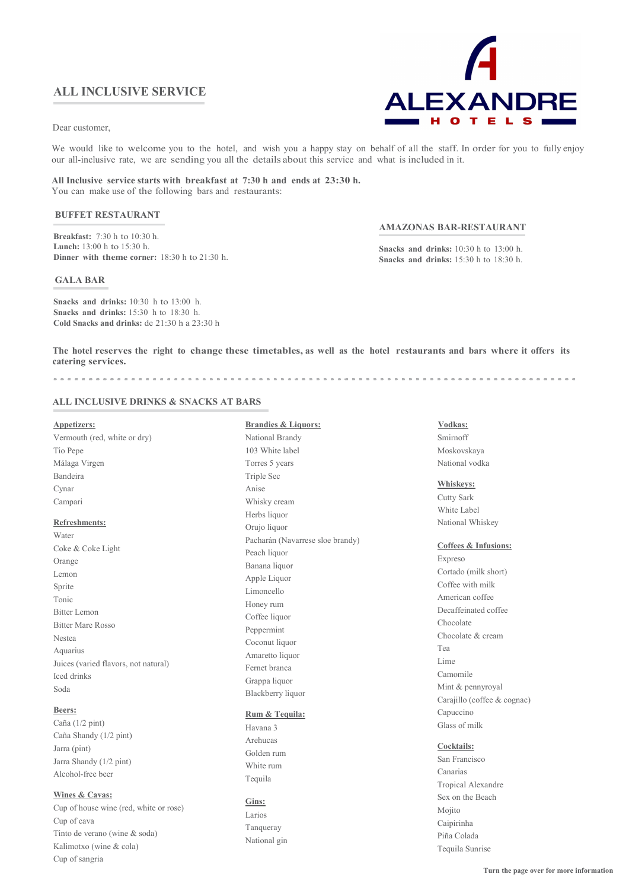Dear customer,

We would like to welcome you to the hotel, and wish you a happy stay on behalf of all the staff. In order for you to fully enjoy our all-inclusive rate, we are sending you all the details about this service and what is included in it.

All Inclusive service starts with breakfast at 7:30 h and ends at 23:30 h. You can make use of the following bars and restaurants:

# BUFFET RESTAURANT

Breakfast: 7:30 h to 10:30 h. Lunch: 13:00 h to 15:30 h. Dinner with theme corner: 18:30 h to 21:30 h.

#### GALA BAR

Snacks and drinks: 10:30 h to 13:00 h. Snacks and drinks: 15:30 h to 18:30 h. Cold Snacks and drinks: de 21:30 h a 23:30 h

### AMAZONAS BAR-RESTAURANT

Snacks and drinks: 10:30 h to 13:00 h. Snacks and drinks: 15:30 h to 18:30 h.

The hotel reserves the right to change these timetables, as well as the hotel restaurants and bars where it offers its catering services.

# ALL INCLUSIVE DRINKS & SNACKS AT BARS

| <b>Appetizers:</b>                   | <b>Brandies &amp; Liquors:</b>   | Vodkas:                         |
|--------------------------------------|----------------------------------|---------------------------------|
| Vermouth (red, white or dry)         | National Brandy                  | Smirnoff                        |
| Tio Pepe                             | 103 White label                  | Moskovskaya                     |
| Málaga Virgen                        | Torres 5 years                   | National vodka                  |
| Bandeira                             | Triple Sec                       |                                 |
| Cynar                                | Anise                            | Whiskeys:                       |
| Campari                              | Whisky cream                     | <b>Cutty Sark</b>               |
|                                      | Herbs liquor                     | White Label                     |
| <b>Refreshments:</b>                 | Orujo liquor                     | National Whiskey                |
| Water                                | Pacharán (Navarrese sloe brandy) | <b>Coffees &amp; Infusions:</b> |
| Coke & Coke Light                    | Peach liquor                     | Expreso                         |
| Orange                               | Banana liquor                    | Cortado (milk short)            |
| Lemon                                | Apple Liquor                     | Coffee with milk                |
| Sprite                               | Limoncello                       | American coffee                 |
| Tonic                                | Honey rum                        | Decaffeinated coffee            |
| <b>Bitter Lemon</b>                  | Coffee liquor                    | Chocolate                       |
| <b>Bitter Mare Rosso</b>             | Peppermint                       | Chocolate & cream               |
| Nestea                               | Coconut liquor                   | Tea                             |
| Aquarius                             | Amaretto liquor                  | Lime                            |
| Juices (varied flavors, not natural) | Fernet branca                    | Camomile                        |
| Iced drinks                          | Grappa liquor                    | Mint & pennyroyal               |
| Soda                                 | Blackberry liquor                | Carajillo (coffee & cognac)     |
| Beers:                               |                                  | Capuccino                       |
| Caña (1/2 pint)                      | Rum & Tequila:                   | Glass of milk                   |
| Caña Shandy (1/2 pint)               | Havana 3<br>Arehucas             |                                 |
| Jarra (pint)                         | Golden rum                       | Cocktails:                      |
| Jarra Shandy (1/2 pint)              |                                  | San Francisco                   |
| Alcohol-free beer                    | White rum                        | Canarias                        |
|                                      | Tequila                          | Tagaigal Alexandre              |

## Wines & Cavas:

Cup of house wine (red, white or rose) Cup of cava Tinto de verano (wine & soda) Kalimotxo (wine & cola) Cup of sangria

Larios Tanqueray National gin

Gins:

Tropical Alexandre Sex on the Beach Mojito Caipirinha Piña Colada Tequila Sunrise